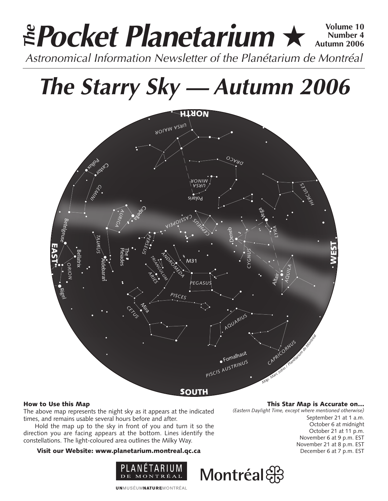### **Pocket Planetarium ★**  $\frac{\text{Volume } 10}{\text{Number } 4}$ **Number 4 Autumn 2006 EPocket Planetarium**  $\star$  Number 4<br>Astronomical Information Newsletter of the Planétarium de Montréal

# **The Starry Sky — Autumn 2006**



#### How to Use this Map

The above map represents the night sky as it appears at the indicated times, and remains usable several hours before and after.

Hold the map up to the sky in front of you and turn it so the direction you are facing appears at the bottom. Lines identify the constellations. The light-coloured area outlines the Milky Way.

#### Visit our Website: www.planetarium.montreal.qc.ca



**UNMUSÉUMNATUREMONTRÉAL** 

This Star Map is Accurate on…

*(Eastern Daylight Time, except where mentioned otherwise)*

September 21 at 1 a.m. October 6 at midnight October 21 at 11 p.m. November 6 at 9 p.m. EST November 21 at 8 p.m. EST December 6 at 7 p.m. EST